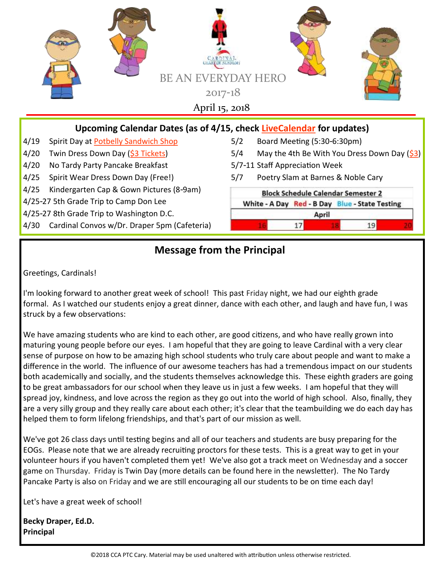

- 4/25-27 5th Grade Trip to Camp Don Lee
- 4/25-27 8th Grade Trip to Washington D.C.
- 4/30 Cardinal Convos w/Dr. Draper 5pm (Cafeteria)

### White - A Day Red - B Day Blue - State Testing April  $17$ 19

# **Message from the Principal**

Greetings, Cardinals!

I'm looking forward to another great week of school! This past Friday night, we had our eighth grade formal. As I watched our students enjoy a great dinner, dance with each other, and laugh and have fun, I was struck by a few observations:

We have amazing students who are kind to each other, are good citizens, and who have really grown into maturing young people before our eyes. I am hopeful that they are going to leave Cardinal with a very clear sense of purpose on how to be amazing high school students who truly care about people and want to make a difference in the world. The influence of our awesome teachers has had a tremendous impact on our students both academically and socially, and the students themselves acknowledge this. These eighth graders are going to be great ambassadors for our school when they leave us in just a few weeks. I am hopeful that they will spread joy, kindness, and love across the region as they go out into the world of high school. Also, finally, they are a very silly group and they really care about each other; it's clear that the teambuilding we do each day has helped them to form lifelong friendships, and that's part of our mission as well.

We've got 26 class days until testing begins and all of our teachers and students are busy preparing for the EOGs. Please note that we are already recruiting proctors for these tests. This is a great way to get in your volunteer hours if you haven't completed them yet! We've also got a track meet on Wednesday and a soccer game on Thursday. Friday is Twin Day (more details can be found here in the newsletter). The No Tardy Pancake Party is also on Friday and we are still encouraging all our students to be on time each day!

Let's have a great week of school!

**Becky Draper, Ed.D. Principal**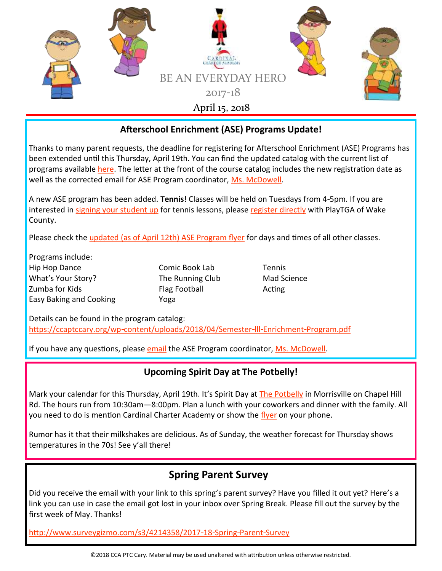

#### **Afterschool Enrichment (ASE) Programs Update!**

Thanks to many parent requests, the deadline for registering for Afterschool Enrichment (ASE) Programs has been extended until this Thursday, April 19th. You can find the updated catalog with the current list of programs available [here.](https://ccaptccary.org/wp-content/uploads/2018/04/Semester-lll-Enrichment-Program.pdf) The letter at the front of the course catalog includes the new registration date as well as the corrected email for ASE Program coordinator, [Ms. McDowell.](mailto:smcdowell@cardinalcharter.org)

A new ASE program has been added. **Tennis**! Classes will be held on Tuesdays from 4-5pm. If you are interested in [signing your student up](https://wakecounty.playtga.com/pd/2332/cardinal-charter-academy?pg=1&returncom=productlist&source=search) for tennis lessons, please [register directly](https://wakecounty.playtga.com/pd/2332/cardinal-charter-academy?pg=1&returncom=productlist&source=search) with PlayTGA of Wake County.

Please check the [updated \(as of April 12th\) ASE Program flyer](https://ccaptccary.org/wp-content/uploads/2018/04/Semester-lll-Enrichment-Program.pdf) for days and times of all other classes.

Programs include: Hip Hop Dance Comic Book Lab Tennis What's Your Story? The Running Club Mad Science Zumba for Kids **Flag Football** Acting Easy Baking and Cooking Yoga

Details can be found in the program catalog: <https://ccaptccary.org/wp-content/uploads/2018/04/Semester-lll-Enrichment-Program.pdf>

If you have any questions, please [email](mailto:smcdowell@cardinalcharter.org) the ASE Program coordinator, [Ms. McDowell.](mailto:smcdowell@cardinalcharter.org)

#### **Upcoming Spirit Day at The Potbelly!**

Mark your calendar for this Thursday, April 19th. It's Spirit Day at [The Potbelly](https://ccaptccary.org/wp-content/uploads/2018/03/PotbellySpring2018SpiritNight.pdf) in Morrisville on Chapel Hill Rd. The hours run from 10:30am—8:00pm. Plan a lunch with your coworkers and dinner with the family. All you need to do is mention Cardinal Charter Academy or show the [flyer](https://ccaptccary.org/wp-content/uploads/2018/03/PotbellySpring2018SpiritNight.pdf) on your phone.

Rumor has it that their milkshakes are delicious. As of Sunday, the weather forecast for Thursday shows temperatures in the 70s! See y'all there!

## **Spring Parent Survey**

Did you receive the email with your link to this spring's parent survey? Have you filled it out yet? Here's a link you can use in case the email got lost in your inbox over Spring Break. Please fill out the survey by the first week of May. Thanks!

<http://www.surveygizmo.com/s3/4214358/2017-18-Spring-Parent-Survey>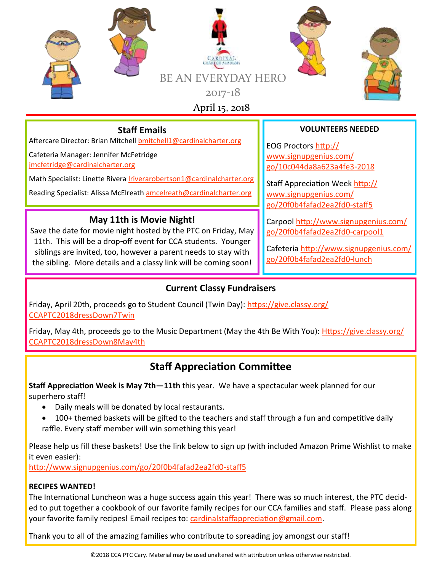

## **Staff Emails**

Aftercare Director: Brian Mitchell [bmitchell1@cardinalcharter.org](mailto:bmitchell1@cardinalcharter.org)

Cafeteria Manager: Jennifer McFetridge [jmcfetridge@cardinalcharter.org](mailto:jmcfetridge@cardinalcharter.org)

Math Specialist: Linette Rivera *Iriverarobertson1@cardinalcharter.org* 

Reading Specialist: Alissa McElreath [amcelreath@cardinalcharter.org](mailto:amcelreath@cardinalcharter.org)

### **May 11th is Movie Night!**

Save the date for movie night hosted by the PTC on Friday, May 11th. This will be a drop-off event for CCA students. Younger siblings are invited, too, however a parent needs to stay with the sibling. More details and a classy link will be coming soon!

#### **VOLUNTEERS NEEDED**

EOG Proctors [http://](http://www.signupgenius.com/go/10c044da8a623a4fe3-2018) [www.signupgenius.com/](http://www.signupgenius.com/go/10c044da8a623a4fe3-2018) [go/10c044da8a623a4fe3-2018](http://www.signupgenius.com/go/10c044da8a623a4fe3-2018)

Staff Appreciation Week [http://](http://www.signupgenius.com/go/20f0b4fafad2ea2fd0-staff5) [www.signupgenius.com/](http://www.signupgenius.com/go/20f0b4fafad2ea2fd0-staff5) [go/20f0b4fafad2ea2fd0-staff5](http://www.signupgenius.com/go/20f0b4fafad2ea2fd0-staff5)

Carpool [http://www.signupgenius.com/](http://www.signupgenius.com/go/20f0b4fafad2ea2fd0-carpool1) [go/20f0b4fafad2ea2fd0-carpool1](http://www.signupgenius.com/go/20f0b4fafad2ea2fd0-carpool1)

Cafeteria [http://www.signupgenius.com/](http://www.signupgenius.com/go/20f0b4fafad2ea2fd0-lunch) [go/20f0b4fafad2ea2fd0-lunch](http://www.signupgenius.com/go/20f0b4fafad2ea2fd0-lunch)

## **Current Classy Fundraisers**

Friday, April 20th, proceeds go to Student Council (Twin Day): [https://give.classy.org/](https://give.classy.org/CCAPTC2018dressDown7Twin) [CCAPTC2018dressDown7Twin](https://give.classy.org/CCAPTC2018dressDown7Twin)

Friday, May 4th, proceeds go to the Music Department (May the 4th Be With You): *[Https://give.classy.org/](https://give.classy.org/CCAPTC2018dressDown8May4th)* [CCAPTC2018dressDown8May4th](https://give.classy.org/CCAPTC2018dressDown8May4th)

# **Staff Appreciation Committee**

**Staff Appreciation Week is May 7th—11th** this year. We have a spectacular week planned for our superhero staff!

- Daily meals will be donated by local restaurants.
- 100+ themed baskets will be gifted to the teachers and staff through a fun and competitive daily raffle. Every staff member will win something this year!

Please help us fill these baskets! Use the link below to sign up (with included Amazon Prime Wishlist to make it even easier):

<http://www.signupgenius.com/go/20f0b4fafad2ea2fd0-staff5>

#### **RECIPES WANTED!**

The International Luncheon was a huge success again this year! There was so much interest, the PTC decided to put together a cookbook of our favorite family recipes for our CCA families and staff. Please pass along your favorite family recipes! Email recipes to: [cardinalstaffappreciation@gmail.com.](mailto:cardinalstaffappreciation@gmail.com)

Thank you to all of the amazing families who contribute to spreading joy amongst our staff!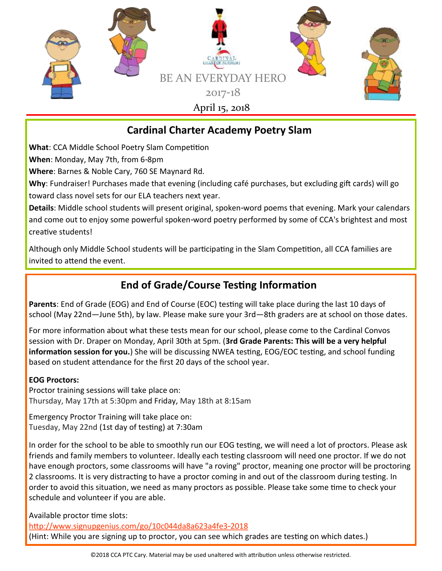

## **Cardinal Charter Academy Poetry Slam**

**What**: CCA Middle School Poetry Slam Competition

**When**: Monday, May 7th, from 6-8pm

**Where**: Barnes & Noble Cary, 760 SE Maynard Rd.

**Why**: Fundraiser! Purchases made that evening (including café purchases, but excluding gift cards) will go toward class novel sets for our ELA teachers next year.

**Details**: Middle school students will present original, spoken-word poems that evening. Mark your calendars and come out to enjoy some powerful spoken-word poetry performed by some of CCA's brightest and most creative students!

Although only Middle School students will be participating in the Slam Competition, all CCA families are invited to attend the event.

# **End of Grade/Course Testing Information**

**Parents**: End of Grade (EOG) and End of Course (EOC) testing will take place during the last 10 days of school (May 22nd—June 5th), by law. Please make sure your 3rd—8th graders are at school on those dates.

For more information about what these tests mean for our school, please come to the Cardinal Convos session with Dr. Draper on Monday, April 30th at 5pm. (**3rd Grade Parents: This will be a very helpful information session for you.**) She will be discussing NWEA testing, EOG/EOC testing, and school funding based on student attendance for the first 20 days of the school year.

#### **EOG Proctors:**

Proctor training sessions will take place on: Thursday, May 17th at 5:30pm and Friday, May 18th at 8:15am

Emergency Proctor Training will take place on: Tuesday, May 22nd (1st day of testing) at 7:30am

In order for the school to be able to smoothly run our EOG testing, we will need a lot of proctors. Please ask friends and family members to volunteer. Ideally each testing classroom will need one proctor. If we do not have enough proctors, some classrooms will have "a roving" proctor, meaning one proctor will be proctoring 2 classrooms. It is very distracting to have a proctor coming in and out of the classroom during testing. In order to avoid this situation, we need as many proctors as possible. Please take some time to check your schedule and volunteer if you are able.

Available proctor time slots:

<http://www.signupgenius.com/go/10c044da8a623a4fe3-2018> (Hint: While you are signing up to proctor, you can see which grades are testing on which dates.)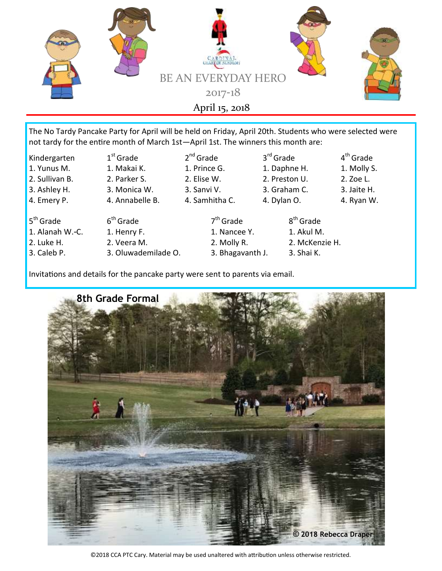

The No Tardy Pancake Party for April will be held on Friday, April 20th. Students who were selected were not tardy for the entire month of March 1st—April 1st. The winners this month are:

- Kindergarten 1
- 
- 
- 
- 
- 5<sup>th</sup> Grade 6
- 
- 
- 
- $1<sup>st</sup>$  Grade
	-
- $2<sup>nd</sup>$  Grade
	- $7<sup>th</sup>$  Grade
- $4<sup>th</sup>$  Grade
- 
- 
- 
- 
- $8<sup>th</sup>$  Grade

 $3<sup>rd</sup>$  Grade

Invitations and details for the pancake party were sent to parents via email.



<sup>©2018</sup> CCA PTC Cary. Material may be used unaltered with attribution unless otherwise restricted.

- 
- $6<sup>th</sup>$  Grade 1. Alanah W.-C. 1. Henry F. 1. Nancee Y. 1. Akul M.
- 2. Luke H. 2. Veera M. 2. Molly R. 2. McKenzie H.
- 3. Caleb P. 3. Oluwademilade O. 3. Bhagavanth J. 3. Shai K.
- 1. Yunus M. 1. Makai K. 1. Prince G. 1. Daphne H. 1. Molly S. 2. Sullivan B. 2. Parker S. 2. Elise W. 2. Preston U. 2. Zoe L. 3. Ashley H. 3. Monica W. 3. Sanvi V. 3. Graham C. 3. Jaite H. 4. Emery P. 4. Annabelle B. 4. Samhitha C. 4. Dylan O. 4. Ryan W.